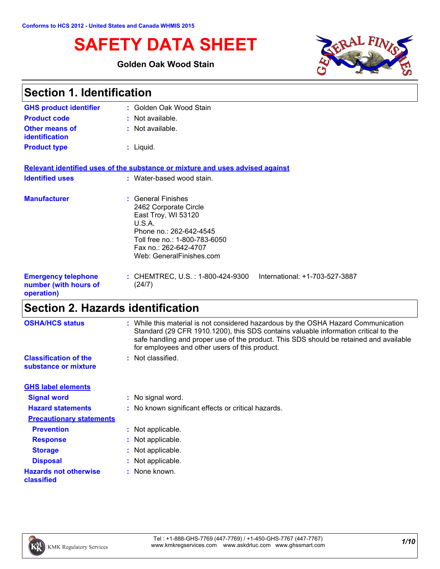# **SAFETY DATA SHEET**

### **Golden Oak Wood Stain**



| <b>Section 1. Identification</b>                                  |                                                                                                                                                                                               |  |
|-------------------------------------------------------------------|-----------------------------------------------------------------------------------------------------------------------------------------------------------------------------------------------|--|
| <b>GHS product identifier</b>                                     | : Golden Oak Wood Stain                                                                                                                                                                       |  |
| <b>Product code</b>                                               | $:$ Not available.                                                                                                                                                                            |  |
| <b>Other means of</b><br><b>identification</b>                    | : Not available.                                                                                                                                                                              |  |
| <b>Product type</b>                                               | $:$ Liquid.                                                                                                                                                                                   |  |
|                                                                   | Relevant identified uses of the substance or mixture and uses advised against                                                                                                                 |  |
| <b>Identified uses</b>                                            | : Water-based wood stain.                                                                                                                                                                     |  |
| <b>Manufacturer</b>                                               | : General Finishes<br>2462 Corporate Circle<br>East Troy, WI 53120<br>U.S.A.<br>Phone no.: 262-642-4545<br>Toll free no.: 1-800-783-6050<br>Fax no.: 262-642-4707<br>Web: GeneralFinishes.com |  |
| <b>Emergency telephone</b><br>number (with hours of<br>operation) | : CHEMTREC, U.S. : 1-800-424-9300<br>International: +1-703-527-3887<br>(24/7)                                                                                                                 |  |

# **Section 2. Hazards identification**

| <b>OSHA/HCS status</b>                               | : While this material is not considered hazardous by the OSHA Hazard Communication<br>Standard (29 CFR 1910.1200), this SDS contains valuable information critical to the<br>safe handling and proper use of the product. This SDS should be retained and available<br>for employees and other users of this product. |
|------------------------------------------------------|-----------------------------------------------------------------------------------------------------------------------------------------------------------------------------------------------------------------------------------------------------------------------------------------------------------------------|
| <b>Classification of the</b><br>substance or mixture | : Not classified.                                                                                                                                                                                                                                                                                                     |
| <b>GHS label elements</b>                            |                                                                                                                                                                                                                                                                                                                       |
| <b>Signal word</b>                                   | : No signal word.                                                                                                                                                                                                                                                                                                     |
| <b>Hazard statements</b>                             | : No known significant effects or critical hazards.                                                                                                                                                                                                                                                                   |
| <b>Precautionary statements</b>                      |                                                                                                                                                                                                                                                                                                                       |
| <b>Prevention</b>                                    | : Not applicable.                                                                                                                                                                                                                                                                                                     |
| <b>Response</b>                                      | : Not applicable.                                                                                                                                                                                                                                                                                                     |
| <b>Storage</b>                                       | : Not applicable.                                                                                                                                                                                                                                                                                                     |
| <b>Disposal</b>                                      | : Not applicable.                                                                                                                                                                                                                                                                                                     |
| <b>Hazards not otherwise</b><br>classified           | : None known.                                                                                                                                                                                                                                                                                                         |

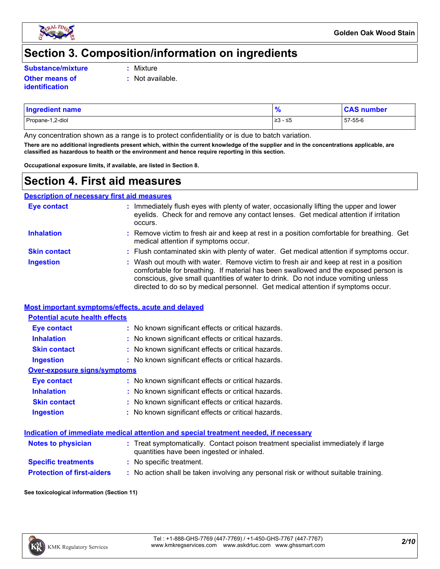

### **Section 3. Composition/information on ingredients**

**Substance/mixture :**

- Mixture
- **Other means of identification**
- **:** Not available.
- Propane-1,2-diol ≥3 ≤5 57-55-6 **Ingredient name % CAS number**

Any concentration shown as a range is to protect confidentiality or is due to batch variation.

**There are no additional ingredients present which, within the current knowledge of the supplier and in the concentrations applicable, are classified as hazardous to health or the environment and hence require reporting in this section.**

**Occupational exposure limits, if available, are listed in Section 8.**

### **Section 4. First aid measures**

**Description of necessary first aid measures**

| <b>Eye contact</b>  | : Immediately flush eyes with plenty of water, occasionally lifting the upper and lower<br>eyelids. Check for and remove any contact lenses. Get medical attention if irritation<br>occurs.                                                                                                                                                            |
|---------------------|--------------------------------------------------------------------------------------------------------------------------------------------------------------------------------------------------------------------------------------------------------------------------------------------------------------------------------------------------------|
| <b>Inhalation</b>   | : Remove victim to fresh air and keep at rest in a position comfortable for breathing. Get<br>medical attention if symptoms occur.                                                                                                                                                                                                                     |
| <b>Skin contact</b> | : Flush contaminated skin with plenty of water. Get medical attention if symptoms occur.                                                                                                                                                                                                                                                               |
| <b>Ingestion</b>    | : Wash out mouth with water. Remove victim to fresh air and keep at rest in a position<br>comfortable for breathing. If material has been swallowed and the exposed person is<br>conscious, give small quantities of water to drink. Do not induce vomiting unless<br>directed to do so by medical personnel. Get medical attention if symptoms occur. |

#### **Most important symptoms/effects, acute and delayed**

| <b>Potential acute health effects</b> |                                                     |  |  |  |  |
|---------------------------------------|-----------------------------------------------------|--|--|--|--|
| Eye contact                           | : No known significant effects or critical hazards. |  |  |  |  |
| <b>Inhalation</b>                     | : No known significant effects or critical hazards. |  |  |  |  |
| <b>Skin contact</b>                   | : No known significant effects or critical hazards. |  |  |  |  |
| <b>Ingestion</b>                      | : No known significant effects or critical hazards. |  |  |  |  |
| Over-exposure signs/symptoms          |                                                     |  |  |  |  |
| Eye contact                           | : No known significant effects or critical hazards. |  |  |  |  |
| <b>Inhalation</b>                     | : No known significant effects or critical hazards. |  |  |  |  |
| <b>Skin contact</b>                   | : No known significant effects or critical hazards. |  |  |  |  |
| <b>Ingestion</b>                      | : No known significant effects or critical hazards. |  |  |  |  |

#### **Indication of immediate medical attention and special treatment needed, if necessary**

| <b>Notes to physician</b>         | : Treat symptomatically. Contact poison treatment specialist immediately if large<br>quantities have been ingested or inhaled. |
|-----------------------------------|--------------------------------------------------------------------------------------------------------------------------------|
| <b>Specific treatments</b>        | : No specific treatment.                                                                                                       |
| <b>Protection of first-aiders</b> | No action shall be taken involving any personal risk or without suitable training.                                             |

#### **See toxicological information (Section 11)**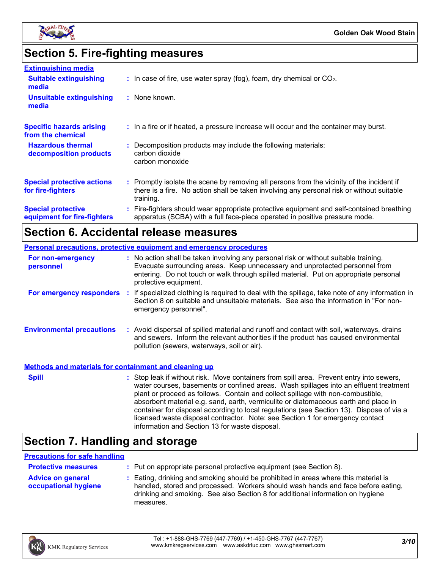

# **Section 5. Fire-fighting measures**

| <b>Extinguishing media</b>                               |                                                                                                                                                                                                     |
|----------------------------------------------------------|-----------------------------------------------------------------------------------------------------------------------------------------------------------------------------------------------------|
| <b>Suitable extinguishing</b><br>media                   | $\therefore$ In case of fire, use water spray (fog), foam, dry chemical or CO <sub>2</sub> .                                                                                                        |
| <b>Unsuitable extinguishing</b><br>media                 | : None known.                                                                                                                                                                                       |
| <b>Specific hazards arising</b><br>from the chemical     | : In a fire or if heated, a pressure increase will occur and the container may burst.                                                                                                               |
| <b>Hazardous thermal</b><br>decomposition products       | : Decomposition products may include the following materials:<br>carbon dioxide<br>carbon monoxide                                                                                                  |
| <b>Special protective actions</b><br>for fire-fighters   | : Promptly isolate the scene by removing all persons from the vicinity of the incident if<br>there is a fire. No action shall be taken involving any personal risk or without suitable<br>training. |
| <b>Special protective</b><br>equipment for fire-fighters | : Fire-fighters should wear appropriate protective equipment and self-contained breathing<br>apparatus (SCBA) with a full face-piece operated in positive pressure mode.                            |

### **Section 6. Accidental release measures**

|                                                              |  | <b>Personal precautions, protective equipment and emergency procedures</b>                                                                                                                                                                                                                                                                                                                                                                                                                                                                                                                 |
|--------------------------------------------------------------|--|--------------------------------------------------------------------------------------------------------------------------------------------------------------------------------------------------------------------------------------------------------------------------------------------------------------------------------------------------------------------------------------------------------------------------------------------------------------------------------------------------------------------------------------------------------------------------------------------|
| For non-emergency<br>personnel                               |  | : No action shall be taken involving any personal risk or without suitable training.<br>Evacuate surrounding areas. Keep unnecessary and unprotected personnel from<br>entering. Do not touch or walk through spilled material. Put on appropriate personal<br>protective equipment.                                                                                                                                                                                                                                                                                                       |
| <b>For emergency responders :</b>                            |  | If specialized clothing is required to deal with the spillage, take note of any information in<br>Section 8 on suitable and unsuitable materials. See also the information in "For non-<br>emergency personnel".                                                                                                                                                                                                                                                                                                                                                                           |
| <b>Environmental precautions</b>                             |  | : Avoid dispersal of spilled material and runoff and contact with soil, waterways, drains<br>and sewers. Inform the relevant authorities if the product has caused environmental<br>pollution (sewers, waterways, soil or air).                                                                                                                                                                                                                                                                                                                                                            |
| <b>Methods and materials for containment and cleaning up</b> |  |                                                                                                                                                                                                                                                                                                                                                                                                                                                                                                                                                                                            |
| <b>Spill</b>                                                 |  | : Stop leak if without risk. Move containers from spill area. Prevent entry into sewers,<br>water courses, basements or confined areas. Wash spillages into an effluent treatment<br>plant or proceed as follows. Contain and collect spillage with non-combustible,<br>absorbent material e.g. sand, earth, vermiculite or diatomaceous earth and place in<br>container for disposal according to local regulations (see Section 13). Dispose of via a<br>licensed waste disposal contractor. Note: see Section 1 for emergency contact<br>information and Section 13 for waste disposal. |

## **Section 7. Handling and storage**

#### **Precautions for safe handling**

| <b>Protective measures</b>                       | : Put on appropriate personal protective equipment (see Section 8).                                                                                                                                                                                                    |
|--------------------------------------------------|------------------------------------------------------------------------------------------------------------------------------------------------------------------------------------------------------------------------------------------------------------------------|
| <b>Advice on general</b><br>occupational hygiene | : Eating, drinking and smoking should be prohibited in areas where this material is<br>handled, stored and processed. Workers should wash hands and face before eating,<br>drinking and smoking. See also Section 8 for additional information on hygiene<br>measures. |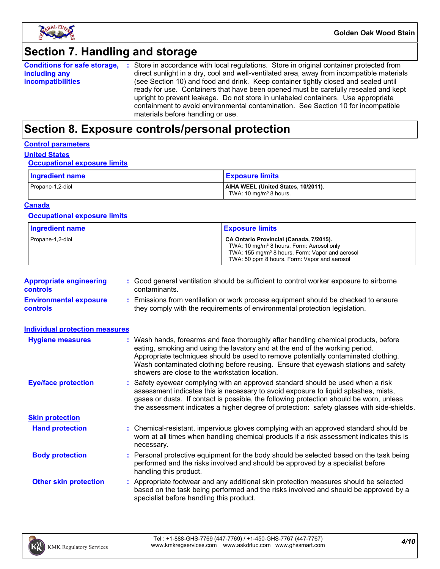

### **Section 7. Handling and storage**

|                          | <b>Conditions for safe storage, :</b> Store in accordance with local regulations. Store in original container protected from |
|--------------------------|------------------------------------------------------------------------------------------------------------------------------|
| including any            | direct sunlight in a dry, cool and well-ventilated area, away from incompatible materials                                    |
| <i>incompatibilities</i> | (see Section 10) and food and drink. Keep container tightly closed and sealed until                                          |
|                          | ready for use. Containers that have been opened must be carefully resealed and kept                                          |
|                          | upright to prevent leakage. Do not store in unlabeled containers. Use appropriate                                            |
|                          | containment to avoid environmental contamination. See Section 10 for incompatible                                            |
|                          | materials before handling or use.                                                                                            |

## **Section 8. Exposure controls/personal protection**

#### **Control parameters**

### **United States**

#### **Occupational exposure limits**

| Ingredient name  | <b>Exposure limits</b>                                                    |
|------------------|---------------------------------------------------------------------------|
| Propane-1,2-diol | AIHA WEEL (United States, 10/2011).<br>TWA: 10 mg/m <sup>3</sup> 8 hours. |

#### **Canada**

#### **Occupational exposure limits**

| <b>Ingredient name</b> | <b>Exposure limits</b>                                                                                                                                                                                          |
|------------------------|-----------------------------------------------------------------------------------------------------------------------------------------------------------------------------------------------------------------|
| Propane-1,2-diol       | CA Ontario Provincial (Canada, 7/2015).<br>TWA: 10 mg/m <sup>3</sup> 8 hours. Form: Aerosol only<br>TWA: 155 mg/m <sup>3</sup> 8 hours. Form: Vapor and aerosol<br>TWA: 50 ppm 8 hours. Form: Vapor and aerosol |

| <b>Appropriate engineering</b><br><b>controls</b> | : Good general ventilation should be sufficient to control worker exposure to airborne<br>contaminants.                                                          |
|---------------------------------------------------|------------------------------------------------------------------------------------------------------------------------------------------------------------------|
| <b>Environmental exposure</b><br><b>controls</b>  | : Emissions from ventilation or work process equipment should be checked to ensure<br>they comply with the requirements of environmental protection legislation. |

| <b>Individual protection measures</b> |                                                                                                                                                                                                                                                                                                                                                                                                   |
|---------------------------------------|---------------------------------------------------------------------------------------------------------------------------------------------------------------------------------------------------------------------------------------------------------------------------------------------------------------------------------------------------------------------------------------------------|
| <b>Hygiene measures</b>               | : Wash hands, forearms and face thoroughly after handling chemical products, before<br>eating, smoking and using the lavatory and at the end of the working period.<br>Appropriate techniques should be used to remove potentially contaminated clothing.<br>Wash contaminated clothing before reusing. Ensure that eyewash stations and safety<br>showers are close to the workstation location. |
| <b>Eye/face protection</b>            | : Safety eyewear complying with an approved standard should be used when a risk<br>assessment indicates this is necessary to avoid exposure to liquid splashes, mists,<br>gases or dusts. If contact is possible, the following protection should be worn, unless<br>the assessment indicates a higher degree of protection: safety glasses with side-shields.                                    |
| <b>Skin protection</b>                |                                                                                                                                                                                                                                                                                                                                                                                                   |
| <b>Hand protection</b>                | : Chemical-resistant, impervious gloves complying with an approved standard should be<br>worn at all times when handling chemical products if a risk assessment indicates this is<br>necessary.                                                                                                                                                                                                   |
| <b>Body protection</b>                | : Personal protective equipment for the body should be selected based on the task being<br>performed and the risks involved and should be approved by a specialist before<br>handling this product.                                                                                                                                                                                               |
| <b>Other skin protection</b>          | : Appropriate footwear and any additional skin protection measures should be selected<br>based on the task being performed and the risks involved and should be approved by a<br>specialist before handling this product.                                                                                                                                                                         |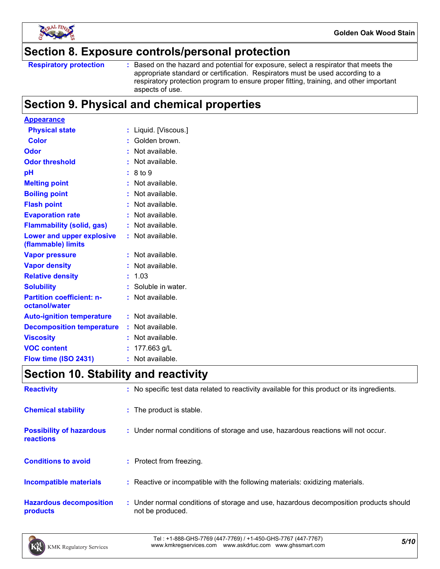

### **Section 8. Exposure controls/personal protection**

Based on the hazard and potential for exposure, select a respirator that meets the appropriate standard or certification. Respirators must be used according to a respiratory protection program to ensure proper fitting, training, and other important aspects of use.

### **Section 9. Physical and chemical properties**

| <b>Appearance</b>                                 |   |                     |
|---------------------------------------------------|---|---------------------|
| <b>Physical state</b>                             |   | Liquid. [Viscous.]  |
| <b>Color</b>                                      |   | : Golden brown.     |
| Odor                                              |   | Not available.      |
| <b>Odor threshold</b>                             |   | Not available.      |
| рH                                                |   | 8 to 9              |
| <b>Melting point</b>                              |   | Not available.      |
| <b>Boiling point</b>                              |   | Not available.      |
| <b>Flash point</b>                                |   | Not available.      |
| <b>Evaporation rate</b>                           |   | Not available.      |
| <b>Flammability (solid, gas)</b>                  |   | Not available.      |
| Lower and upper explosive<br>(flammable) limits   |   | $:$ Not available.  |
| <b>Vapor pressure</b>                             |   | Not available.      |
| <b>Vapor density</b>                              |   | Not available.      |
| <b>Relative density</b>                           |   | 1.03                |
| <b>Solubility</b>                                 |   | : Soluble in water. |
| <b>Partition coefficient: n-</b><br>octanol/water |   | Not available.      |
| <b>Auto-ignition temperature</b>                  |   | $:$ Not available.  |
| <b>Decomposition temperature</b>                  |   | Not available.      |
| <b>Viscosity</b>                                  |   | Not available.      |
| <b>VOC content</b>                                |   | 177.663 g/L         |
| Flow time (ISO 2431)                              | ۰ | Not available.      |

## **Section 10. Stability and reactivity**

| <b>Reactivity</b>                            | : No specific test data related to reactivity available for this product or its ingredients.              |
|----------------------------------------------|-----------------------------------------------------------------------------------------------------------|
| <b>Chemical stability</b>                    | : The product is stable.                                                                                  |
| <b>Possibility of hazardous</b><br>reactions | : Under normal conditions of storage and use, hazardous reactions will not occur.                         |
| <b>Conditions to avoid</b>                   | : Protect from freezing.                                                                                  |
| <b>Incompatible materials</b>                | : Reactive or incompatible with the following materials: oxidizing materials.                             |
| <b>Hazardous decomposition</b><br>products   | : Under normal conditions of storage and use, hazardous decomposition products should<br>not be produced. |

*5/10* Tel : +1-888-GHS-7769 (447-7769) / +1-450-GHS-7767 (447-7767) www.kmkregservices.com www.askdrluc.com www.ghssmart.com

**Respiratory protection :**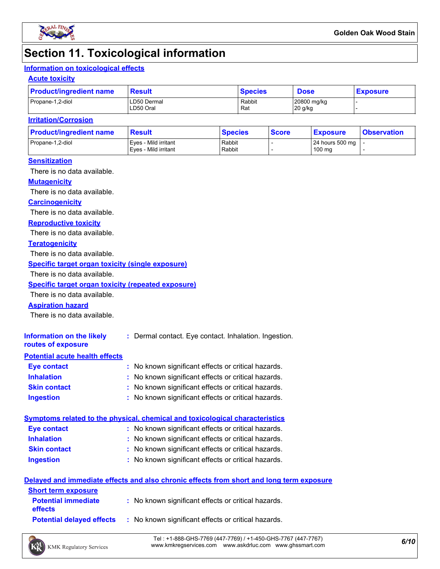

### **Section 11. Toxicological information**

#### **Information on toxicological effects**

#### **Acute toxicity**

| <b>Product/ingredient name</b> | <b>Result</b>            | <b>Species</b> | <b>Dose</b>            | <b>Exposure</b> |  |
|--------------------------------|--------------------------|----------------|------------------------|-----------------|--|
| Propane-1,2-diol               | LD50 Dermal<br>LD50 Oral | Rabbit<br>Rat  | 20800 mg/kg<br>20 g/kg |                 |  |

#### **Irritation/Corrosion**

| <b>Product/ingredient name</b> | <b>Result</b>                                | <b>Species</b>   | <b>Score</b> | <u>  Exposure</u>         | <b>Observation</b> |
|--------------------------------|----------------------------------------------|------------------|--------------|---------------------------|--------------------|
| Propane-1,2-diol               | Eves - Mild irritant<br>Eves - Mild irritant | Rabbit<br>Rabbit |              | 24 hours 500 mg<br>100 mg |                    |
|                                |                                              |                  |              |                           |                    |

#### **Sensitization**

There is no data available.

#### **Mutagenicity**

There is no data available.

#### **Carcinogenicity**

There is no data available.

#### **Reproductive toxicity**

There is no data available.

#### **Teratogenicity**

There is no data available.

#### **Specific target organ toxicity (single exposure)**

There is no data available.

#### **Specific target organ toxicity (repeated exposure)**

There is no data available.

#### **Aspiration hazard**

There is no data available.

| Information on the likely<br>routes of exposure | : Dermal contact. Eye contact. Inhalation. Ingestion. |
|-------------------------------------------------|-------------------------------------------------------|
| <b>Potential acute health effects</b>           |                                                       |
| Eye contact                                     | : No known significant effects or critical hazards.   |
| <b>Inhalation</b>                               | : No known significant effects or critical hazards.   |
| <b>Skin contact</b>                             | : No known significant effects or critical hazards.   |

#### **Ingestion :** No known significant effects or critical hazards.

|                     | Symptoms related to the physical, chemical and toxicological characteristics |  |
|---------------------|------------------------------------------------------------------------------|--|
| <b>Eye contact</b>  | : No known significant effects or critical hazards.                          |  |
| <b>Inhalation</b>   | : No known significant effects or critical hazards.                          |  |
| <b>Skin contact</b> | : No known significant effects or critical hazards.                          |  |
| <b>Ingestion</b>    | : No known significant effects or critical hazards.                          |  |

#### **Delayed and immediate effects and also chronic effects from short and long term exposure**

| <b>Short term exposure</b>                   |                                                     |
|----------------------------------------------|-----------------------------------------------------|
| <b>Potential immediate</b><br><b>effects</b> | : No known significant effects or critical hazards. |
| <b>Potential delaved effects</b>             | : No known significant effects or critical hazards. |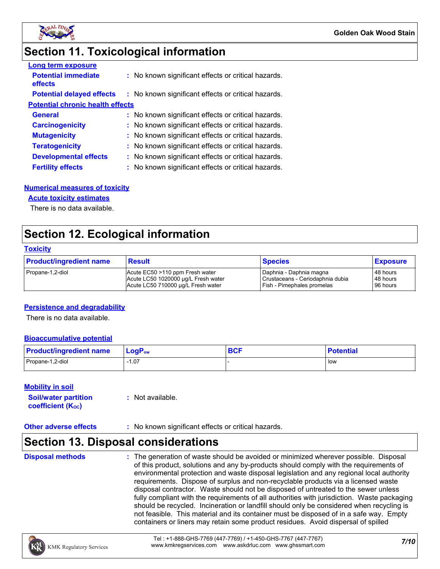

### **Section 11. Toxicological information**

| <b>Long term exposure</b>               |                                                     |
|-----------------------------------------|-----------------------------------------------------|
| <b>Potential immediate</b><br>effects   | : No known significant effects or critical hazards. |
| <b>Potential delayed effects</b>        | : No known significant effects or critical hazards. |
| <b>Potential chronic health effects</b> |                                                     |
| <b>General</b>                          | : No known significant effects or critical hazards. |
| <b>Carcinogenicity</b>                  | : No known significant effects or critical hazards. |
| <b>Mutagenicity</b>                     | : No known significant effects or critical hazards. |
| <b>Teratogenicity</b>                   | : No known significant effects or critical hazards. |
| <b>Developmental effects</b>            | : No known significant effects or critical hazards. |
| <b>Fertility effects</b>                | : No known significant effects or critical hazards. |

#### **Numerical measures of toxicity**

#### **Acute toxicity estimates**

There is no data available.

### **Section 12. Ecological information**

#### **Toxicity**

| <b>Product/ingredient name</b> | <b>Result</b>                       | <b>Species</b>                   | <b>Exposure</b> |
|--------------------------------|-------------------------------------|----------------------------------|-----------------|
| Propane-1,2-diol               | Acute EC50 >110 ppm Fresh water     | Daphnia - Daphnia magna          | 48 hours        |
|                                | Acute LC50 1020000 µg/L Fresh water | Crustaceans - Ceriodaphnia dubia | 48 hours        |
|                                | Acute LC50 710000 ug/L Fresh water  | Fish - Pimephales promelas       | 96 hours        |

#### **Persistence and degradability**

There is no data available.

#### **Bioaccumulative potential**

| <b>Product/ingredient name</b> | $\mathsf{LogP}_\mathsf{ow}$ | <b>DAC</b><br><b>DUI</b> | <b>Potential</b> |
|--------------------------------|-----------------------------|--------------------------|------------------|
| Propane-1,2-diol               | 07، ا                       |                          | l low            |

#### **Mobility in soil**

| <b>Soil/water partition</b> | $:$ Not available. |
|-----------------------------|--------------------|
| <b>coefficient (Koc)</b>    |                    |

#### **Other adverse effects** : No known significant effects or critical hazards.

### **Section 13. Disposal considerations**

**Disposal methods :**

The generation of waste should be avoided or minimized wherever possible. Disposal of this product, solutions and any by-products should comply with the requirements of environmental protection and waste disposal legislation and any regional local authority requirements. Dispose of surplus and non-recyclable products via a licensed waste disposal contractor. Waste should not be disposed of untreated to the sewer unless fully compliant with the requirements of all authorities with jurisdiction. Waste packaging should be recycled. Incineration or landfill should only be considered when recycling is not feasible. This material and its container must be disposed of in a safe way. Empty containers or liners may retain some product residues. Avoid dispersal of spilled

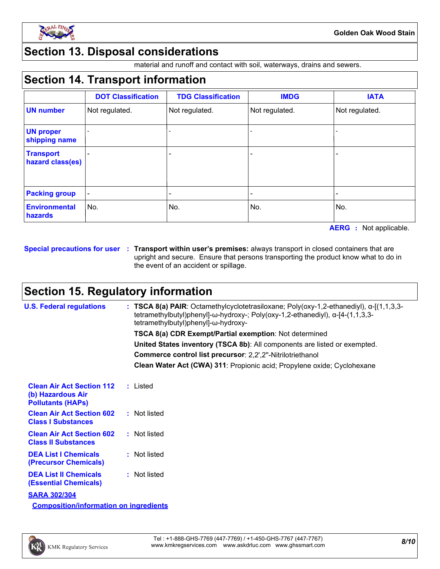

### **Section 13. Disposal considerations**

material and runoff and contact with soil, waterways, drains and sewers.

### **Section 14. Transport information**

|                                      | <b>DOT Classification</b> | <b>TDG Classification</b> | <b>IMDG</b>    | <b>IATA</b>    |
|--------------------------------------|---------------------------|---------------------------|----------------|----------------|
| <b>UN number</b>                     | Not regulated.            | Not regulated.            | Not regulated. | Not regulated. |
| <b>UN proper</b><br>shipping name    |                           |                           |                |                |
| <b>Transport</b><br>hazard class(es) |                           | -                         |                |                |
| <b>Packing group</b>                 |                           |                           |                |                |
| <b>Environmental</b><br>hazards      | No.                       | No.                       | No.            | No.            |

**AERG :** Not applicable.

**Special precautions for user Transport within user's premises:** always transport in closed containers that are **:** upright and secure. Ensure that persons transporting the product know what to do in the event of an accident or spillage.

### **Section 15. Regulatory information**

| <b>U.S. Federal regulations</b>                                                   | : TSCA 8(a) PAIR: Octamethylcyclotetrasiloxane; Poly(oxy-1,2-ethanediyl), $\alpha$ -[(1,1,3,3-<br>tetramethylbutyl)phenyl]-ω-hydroxy-; Poly(oxy-1,2-ethanediyl), α-[4-(1,1,3,3-<br>tetramethylbutyl)phenyl]-ω-hydroxy- |  |
|-----------------------------------------------------------------------------------|------------------------------------------------------------------------------------------------------------------------------------------------------------------------------------------------------------------------|--|
|                                                                                   | <b>TSCA 8(a) CDR Exempt/Partial exemption: Not determined</b>                                                                                                                                                          |  |
|                                                                                   | United States inventory (TSCA 8b): All components are listed or exempted.                                                                                                                                              |  |
|                                                                                   | Commerce control list precursor: 2,2',2"-Nitrilotriethanol                                                                                                                                                             |  |
|                                                                                   | Clean Water Act (CWA) 311: Propionic acid; Propylene oxide; Cyclohexane                                                                                                                                                |  |
| <b>Clean Air Act Section 112</b><br>(b) Hazardous Air<br><b>Pollutants (HAPs)</b> | : Listed                                                                                                                                                                                                               |  |
| <b>Clean Air Act Section 602</b><br><b>Class I Substances</b>                     | : Not listed                                                                                                                                                                                                           |  |
| <b>Clean Air Act Section 602</b><br><b>Class II Substances</b>                    | : Not listed                                                                                                                                                                                                           |  |
| <b>DEA List I Chemicals</b><br>(Precursor Chemicals)                              | : Not listed                                                                                                                                                                                                           |  |
| <b>DEA List II Chemicals</b><br><b>(Essential Chemicals)</b>                      | : Not listed                                                                                                                                                                                                           |  |
| <b>SARA 302/304</b>                                                               |                                                                                                                                                                                                                        |  |
| <b>Composition/information on ingredients</b>                                     |                                                                                                                                                                                                                        |  |

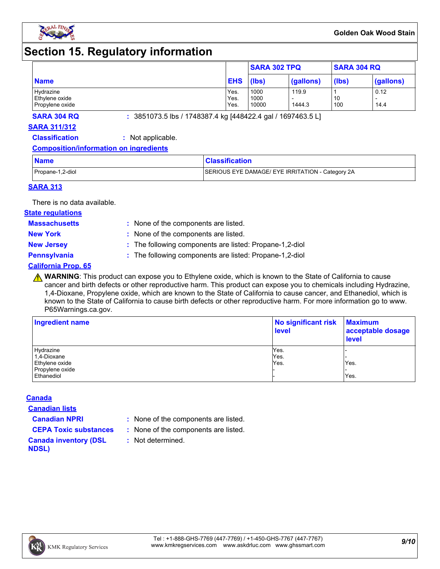

### **Section 15. Regulatory information**

|                                   |              |               | <b>SARA 302 TPQ</b> | <b>SARA 304 RQ</b> |           |
|-----------------------------------|--------------|---------------|---------------------|--------------------|-----------|
| <b>Name</b>                       | <b>EHS</b>   | (lbs)         | (gallons)           | (lbs)              | (gallons) |
| Hydrazine                         | Yes.         | 1000          | 119.9               |                    | 0.12      |
| Ethylene oxide<br>Propylene oxide | Yes.<br>Yes. | 1000<br>10000 | 1444.3              | 10<br>100          | 14.4      |

**SARA 304 RQ :** 3851073.5 lbs / 1748387.4 kg [448422.4 gal / 1697463.5 L]

#### **SARA 311/312**

**Classification :** Not applicable.

#### **Composition/information on ingredients**

| <b>Name</b>      | <b>Classification</b>                            |
|------------------|--------------------------------------------------|
| Propane-1,2-diol | SERIOUS EYE DAMAGE/ EYE IRRITATION - Category 2A |

#### **SARA 313**

There is no data available.

#### **State regulations**

**Massachusetts :**

: None of the components are listed. **New York :** None of the components are listed.

**New Jersey :** The following components are listed: Propane-1,2-diol

**Pennsylvania :** The following components are listed: Propane-1,2-diol

#### **California Prop. 65**

**A WARNING**: This product can expose you to Ethylene oxide, which is known to the State of California to cause cancer and birth defects or other reproductive harm. This product can expose you to chemicals including Hydrazine, 1,4-Dioxane, Propylene oxide, which are known to the State of California to cause cancer, and Ethanediol, which is known to the State of California to cause birth defects or other reproductive harm. For more information go to www. P65Warnings.ca.gov.

| Ingredient name | No significant risk<br><b>level</b> | <b>Maximum</b><br>acceptable dosage<br><b>level</b> |  |
|-----------------|-------------------------------------|-----------------------------------------------------|--|
| Hydrazine       | Yes.                                |                                                     |  |
| 1,4-Dioxane     | Yes.                                |                                                     |  |
| Ethylene oxide  | Yes.                                | Yes.                                                |  |
| Propylene oxide |                                     |                                                     |  |
| Ethanediol      |                                     | Yes.                                                |  |

#### **Canada**

**Canadian lists**

**Canadian NPRI :** None of the components are listed.

**CEPA Toxic substances :** None of the components are listed.

**:** Not determined.

**Canada inventory (DSL NDSL)**